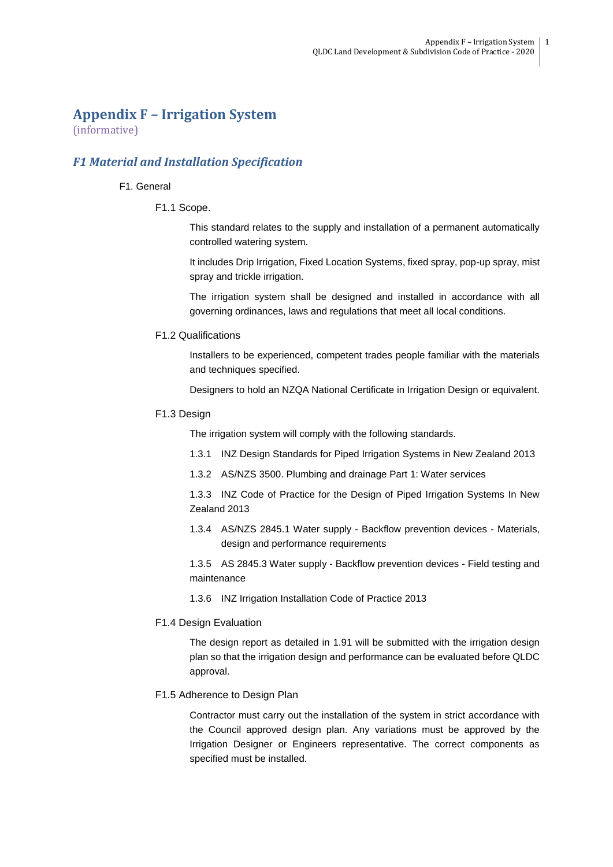# **Appendix F – Irrigation System**

(informative)

## *F1 Material and Installation Specification*

## F1. General

## F1.1 Scope.

This standard relates to the supply and installation of a permanent automatically controlled watering system.

It includes Drip Irrigation, Fixed Location Systems, fixed spray, pop-up spray, mist spray and trickle irrigation.

The irrigation system shall be designed and installed in accordance with all governing ordinances, laws and regulations that meet all local conditions.

## F1.2 Qualifications

Installers to be experienced, competent trades people familiar with the materials and techniques specified.

Designers to hold an NZQA National Certificate in Irrigation Design or equivalent.

## F1.3 Design

The irrigation system will comply with the following standards.

- 1.3.1 INZ Design Standards for Piped Irrigation Systems in New Zealand 2013
- 1.3.2 AS/NZS 3500. Plumbing and drainage Part 1: Water services

1.3.3 INZ Code of Practice for the Design of Piped Irrigation Systems In New Zealand 2013

1.3.4 AS/NZS 2845.1 Water supply - Backflow prevention devices - Materials, design and performance requirements

1.3.5 AS 2845.3 Water supply - Backflow prevention devices - Field testing and maintenance

1.3.6 INZ Irrigation Installation Code of Practice 2013

## F1.4 Design Evaluation

The design report as detailed in 1.91 will be submitted with the irrigation design plan so that the irrigation design and performance can be evaluated before QLDC approval.

## F1.5 Adherence to Design Plan

Contractor must carry out the installation of the system in strict accordance with the Council approved design plan. Any variations must be approved by the Irrigation Designer or Engineers representative. The correct components as specified must be installed.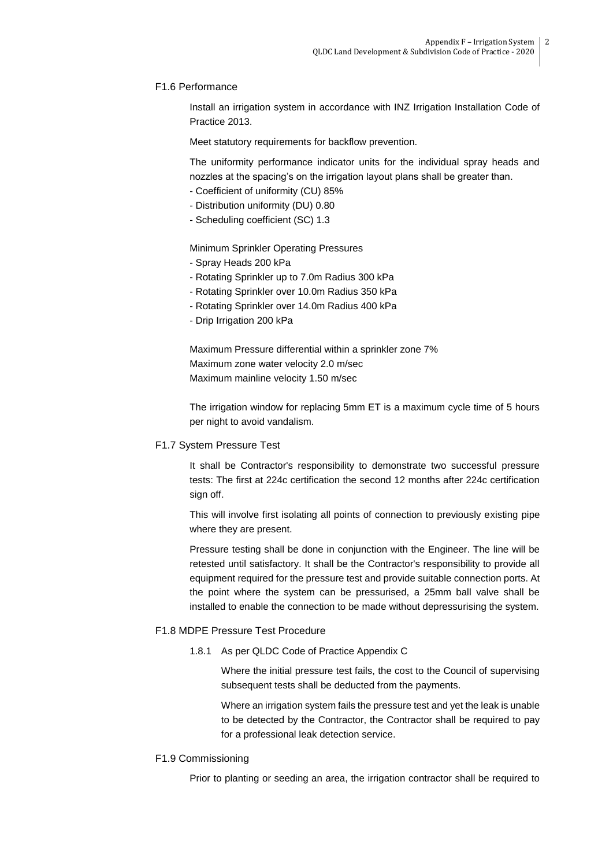## F1.6 Performance

Install an irrigation system in accordance with INZ Irrigation Installation Code of Practice 2013.

Meet statutory requirements for backflow prevention.

The uniformity performance indicator units for the individual spray heads and nozzles at the spacing's on the irrigation layout plans shall be greater than.

- Coefficient of uniformity (CU) 85%
- Distribution uniformity (DU) 0.80
- Scheduling coefficient (SC) 1.3

Minimum Sprinkler Operating Pressures

- Spray Heads 200 kPa
- Rotating Sprinkler up to 7.0m Radius 300 kPa
- Rotating Sprinkler over 10.0m Radius 350 kPa
- Rotating Sprinkler over 14.0m Radius 400 kPa
- Drip Irrigation 200 kPa

Maximum Pressure differential within a sprinkler zone 7% Maximum zone water velocity 2.0 m/sec Maximum mainline velocity 1.50 m/sec

The irrigation window for replacing 5mm ET is a maximum cycle time of 5 hours per night to avoid vandalism.

## F1.7 System Pressure Test

It shall be Contractor's responsibility to demonstrate two successful pressure tests: The first at 224c certification the second 12 months after 224c certification sign off.

This will involve first isolating all points of connection to previously existing pipe where they are present.

Pressure testing shall be done in conjunction with the Engineer. The line will be retested until satisfactory. It shall be the Contractor's responsibility to provide all equipment required for the pressure test and provide suitable connection ports. At the point where the system can be pressurised, a 25mm ball valve shall be installed to enable the connection to be made without depressurising the system.

## F1.8 MDPE Pressure Test Procedure

1.8.1 As per QLDC Code of Practice Appendix C

Where the initial pressure test fails, the cost to the Council of supervising subsequent tests shall be deducted from the payments.

Where an irrigation system fails the pressure test and yet the leak is unable to be detected by the Contractor, the Contractor shall be required to pay for a professional leak detection service.

## F1.9 Commissioning

Prior to planting or seeding an area, the irrigation contractor shall be required to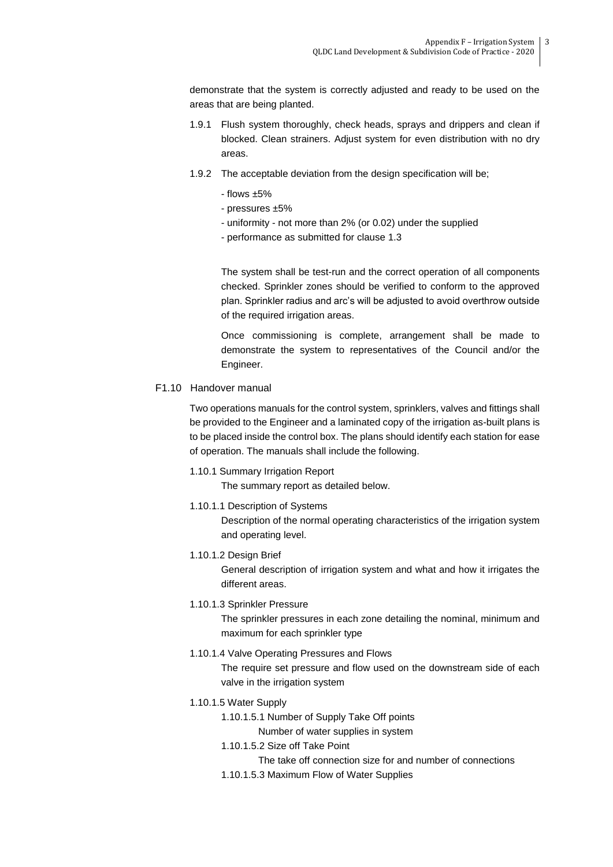demonstrate that the system is correctly adjusted and ready to be used on the areas that are being planted.

- 1.9.1 Flush system thoroughly, check heads, sprays and drippers and clean if blocked. Clean strainers. Adjust system for even distribution with no dry areas.
- 1.9.2 The acceptable deviation from the design specification will be;
	- flows ±5%
	- pressures ±5%
	- uniformity not more than 2% (or 0.02) under the supplied
	- performance as submitted for clause 1.3

The system shall be test-run and the correct operation of all components checked. Sprinkler zones should be verified to conform to the approved plan. Sprinkler radius and arc's will be adjusted to avoid overthrow outside of the required irrigation areas.

Once commissioning is complete, arrangement shall be made to demonstrate the system to representatives of the Council and/or the Engineer.

## F1.10 Handover manual

Two operations manuals for the control system, sprinklers, valves and fittings shall be provided to the Engineer and a laminated copy of the irrigation as-built plans is to be placed inside the control box. The plans should identify each station for ease of operation. The manuals shall include the following.

1.10.1 Summary Irrigation Report

The summary report as detailed below.

1.10.1.1 Description of Systems

Description of the normal operating characteristics of the irrigation system and operating level.

1.10.1.2 Design Brief

General description of irrigation system and what and how it irrigates the different areas.

1.10.1.3 Sprinkler Pressure

The sprinkler pressures in each zone detailing the nominal, minimum and maximum for each sprinkler type

1.10.1.4 Valve Operating Pressures and Flows

The require set pressure and flow used on the downstream side of each valve in the irrigation system

- 1.10.1.5 Water Supply
	- 1.10.1.5.1 Number of Supply Take Off points

Number of water supplies in system

- 1.10.1.5.2 Size off Take Point
	- The take off connection size for and number of connections
- 1.10.1.5.3 Maximum Flow of Water Supplies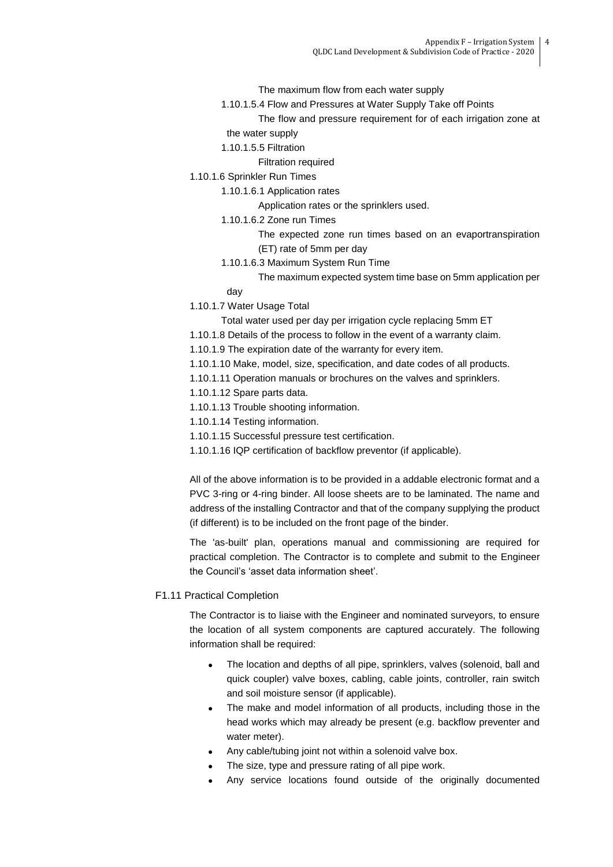The maximum flow from each water supply

1.10.1.5.4 Flow and Pressures at Water Supply Take off Points

The flow and pressure requirement for of each irrigation zone at the water supply

- 1.10.1.5.5 Filtration
	- Filtration required
- 1.10.1.6 Sprinkler Run Times
	- 1.10.1.6.1 Application rates

Application rates or the sprinklers used.

1.10.1.6.2 Zone run Times

The expected zone run times based on an evaportranspiration (ET) rate of 5mm per day

1.10.1.6.3 Maximum System Run Time

The maximum expected system time base on 5mm application per

- day
- 1.10.1.7 Water Usage Total

Total water used per day per irrigation cycle replacing 5mm ET

- 1.10.1.8 Details of the process to follow in the event of a warranty claim.
- 1.10.1.9 The expiration date of the warranty for every item.
- 1.10.1.10 Make, model, size, specification, and date codes of all products.
- 1.10.1.11 Operation manuals or brochures on the valves and sprinklers.
- 1.10.1.12 Spare parts data.
- 1.10.1.13 Trouble shooting information.
- 1.10.1.14 Testing information.
- 1.10.1.15 Successful pressure test certification.
- 1.10.1.16 IQP certification of backflow preventor (if applicable).

All of the above information is to be provided in a addable electronic format and a PVC 3-ring or 4-ring binder. All loose sheets are to be laminated. The name and address of the installing Contractor and that of the company supplying the product (if different) is to be included on the front page of the binder.

The 'as-built' plan, operations manual and commissioning are required for practical completion. The Contractor is to complete and submit to the Engineer the Council's 'asset data information sheet'.

### F1.11 Practical Completion

The Contractor is to liaise with the Engineer and nominated surveyors, to ensure the location of all system components are captured accurately. The following information shall be required:

- The location and depths of all pipe, sprinklers, valves (solenoid, ball and quick coupler) valve boxes, cabling, cable joints, controller, rain switch and soil moisture sensor (if applicable).
- The make and model information of all products, including those in the head works which may already be present (e.g. backflow preventer and water meter).
- Any cable/tubing joint not within a solenoid valve box.
- The size, type and pressure rating of all pipe work.
- Any service locations found outside of the originally documented

4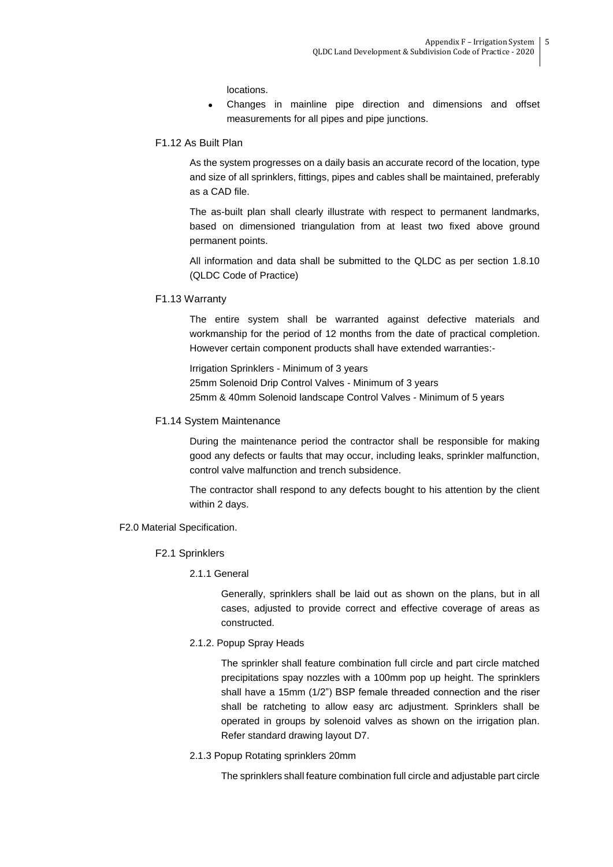locations.

- Changes in mainline pipe direction and dimensions and offset measurements for all pipes and pipe junctions.
- F1.12 As Built Plan

As the system progresses on a daily basis an accurate record of the location, type and size of all sprinklers, fittings, pipes and cables shall be maintained, preferably as a CAD file.

The as-built plan shall clearly illustrate with respect to permanent landmarks, based on dimensioned triangulation from at least two fixed above ground permanent points.

All information and data shall be submitted to the QLDC as per section 1.8.10 (QLDC Code of Practice)

F1.13 Warranty

The entire system shall be warranted against defective materials and workmanship for the period of 12 months from the date of practical completion. However certain component products shall have extended warranties:-

Irrigation Sprinklers - Minimum of 3 years 25mm Solenoid Drip Control Valves - Minimum of 3 years 25mm & 40mm Solenoid landscape Control Valves - Minimum of 5 years

#### F1.14 System Maintenance

During the maintenance period the contractor shall be responsible for making good any defects or faults that may occur, including leaks, sprinkler malfunction, control valve malfunction and trench subsidence.

The contractor shall respond to any defects bought to his attention by the client within 2 days.

#### F2.0 Material Specification.

- F2.1 Sprinklers
	- 2.1.1 General

Generally, sprinklers shall be laid out as shown on the plans, but in all cases, adjusted to provide correct and effective coverage of areas as constructed.

2.1.2. Popup Spray Heads

The sprinkler shall feature combination full circle and part circle matched precipitations spay nozzles with a 100mm pop up height. The sprinklers shall have a 15mm (1/2") BSP female threaded connection and the riser shall be ratcheting to allow easy arc adjustment. Sprinklers shall be operated in groups by solenoid valves as shown on the irrigation plan. Refer standard drawing layout D7.

2.1.3 Popup Rotating sprinklers 20mm

The sprinklers shall feature combination full circle and adjustable part circle

5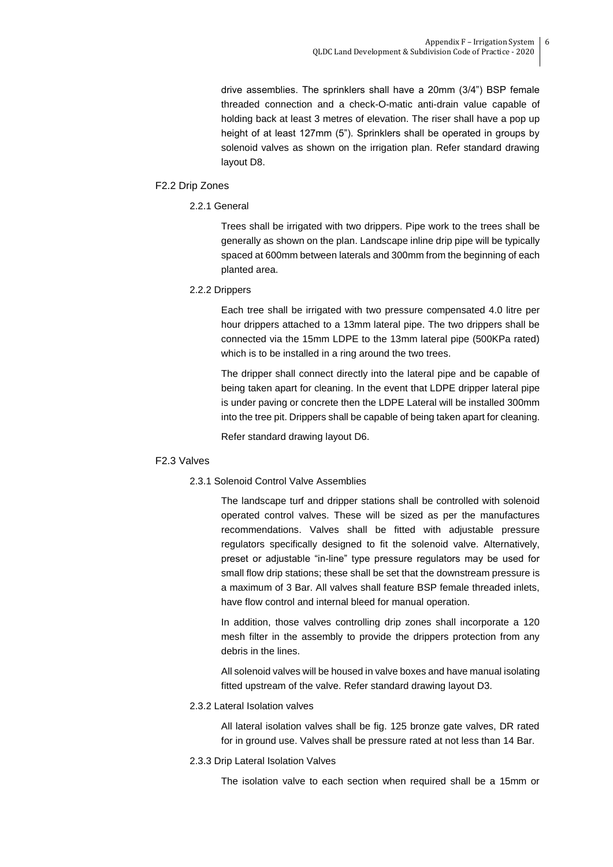drive assemblies. The sprinklers shall have a 20mm (3/4") BSP female threaded connection and a check-O-matic anti-drain value capable of holding back at least 3 metres of elevation. The riser shall have a pop up height of at least 127mm (5"). Sprinklers shall be operated in groups by solenoid valves as shown on the irrigation plan. Refer standard drawing layout D8.

## F2.2 Drip Zones

2.2.1 General

Trees shall be irrigated with two drippers. Pipe work to the trees shall be generally as shown on the plan. Landscape inline drip pipe will be typically spaced at 600mm between laterals and 300mm from the beginning of each planted area.

2.2.2 Drippers

Each tree shall be irrigated with two pressure compensated 4.0 litre per hour drippers attached to a 13mm lateral pipe. The two drippers shall be connected via the 15mm LDPE to the 13mm lateral pipe (500KPa rated) which is to be installed in a ring around the two trees.

The dripper shall connect directly into the lateral pipe and be capable of being taken apart for cleaning. In the event that LDPE dripper lateral pipe is under paving or concrete then the LDPE Lateral will be installed 300mm into the tree pit. Drippers shall be capable of being taken apart for cleaning.

Refer standard drawing layout D6.

## F2.3 Valves

## 2.3.1 Solenoid Control Valve Assemblies

The landscape turf and dripper stations shall be controlled with solenoid operated control valves. These will be sized as per the manufactures recommendations. Valves shall be fitted with adjustable pressure regulators specifically designed to fit the solenoid valve. Alternatively, preset or adjustable "in-line" type pressure regulators may be used for small flow drip stations; these shall be set that the downstream pressure is a maximum of 3 Bar. All valves shall feature BSP female threaded inlets, have flow control and internal bleed for manual operation.

In addition, those valves controlling drip zones shall incorporate a 120 mesh filter in the assembly to provide the drippers protection from any debris in the lines.

All solenoid valves will be housed in valve boxes and have manual isolating fitted upstream of the valve. Refer standard drawing layout D3.

## 2.3.2 Lateral Isolation valves

All lateral isolation valves shall be fig. 125 bronze gate valves, DR rated for in ground use. Valves shall be pressure rated at not less than 14 Bar.

2.3.3 Drip Lateral Isolation Valves

The isolation valve to each section when required shall be a 15mm or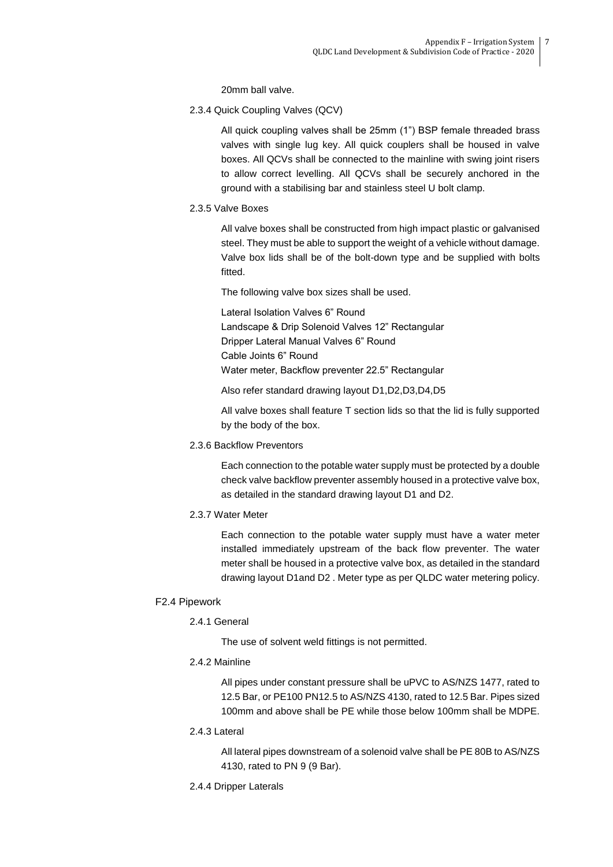20mm ball valve.

2.3.4 Quick Coupling Valves (QCV)

All quick coupling valves shall be 25mm (1") BSP female threaded brass valves with single lug key. All quick couplers shall be housed in valve boxes. All QCVs shall be connected to the mainline with swing joint risers to allow correct levelling. All QCVs shall be securely anchored in the ground with a stabilising bar and stainless steel U bolt clamp.

2.3.5 Valve Boxes

All valve boxes shall be constructed from high impact plastic or galvanised steel. They must be able to support the weight of a vehicle without damage. Valve box lids shall be of the bolt-down type and be supplied with bolts fitted.

The following valve box sizes shall be used.

Lateral Isolation Valves 6" Round Landscape & Drip Solenoid Valves 12" Rectangular Dripper Lateral Manual Valves 6" Round Cable Joints 6" Round Water meter, Backflow preventer 22.5" Rectangular

Also refer standard drawing layout D1,D2,D3,D4,D5

All valve boxes shall feature T section lids so that the lid is fully supported by the body of the box.

2.3.6 Backflow Preventors

Each connection to the potable water supply must be protected by a double check valve backflow preventer assembly housed in a protective valve box, as detailed in the standard drawing layout D1 and D2.

2.3.7 Water Meter

Each connection to the potable water supply must have a water meter installed immediately upstream of the back flow preventer. The water meter shall be housed in a protective valve box, as detailed in the standard drawing layout D1and D2 . Meter type as per QLDC water metering policy.

## F2.4 Pipework

## 2.4.1 General

The use of solvent weld fittings is not permitted.

2.4.2 Mainline

All pipes under constant pressure shall be uPVC to AS/NZS 1477, rated to 12.5 Bar, or PE100 PN12.5 to AS/NZS 4130, rated to 12.5 Bar. Pipes sized 100mm and above shall be PE while those below 100mm shall be MDPE.

2.4.3 Lateral

All lateral pipes downstream of a solenoid valve shall be PE 80B to AS/NZS 4130, rated to PN 9 (9 Bar).

2.4.4 Dripper Laterals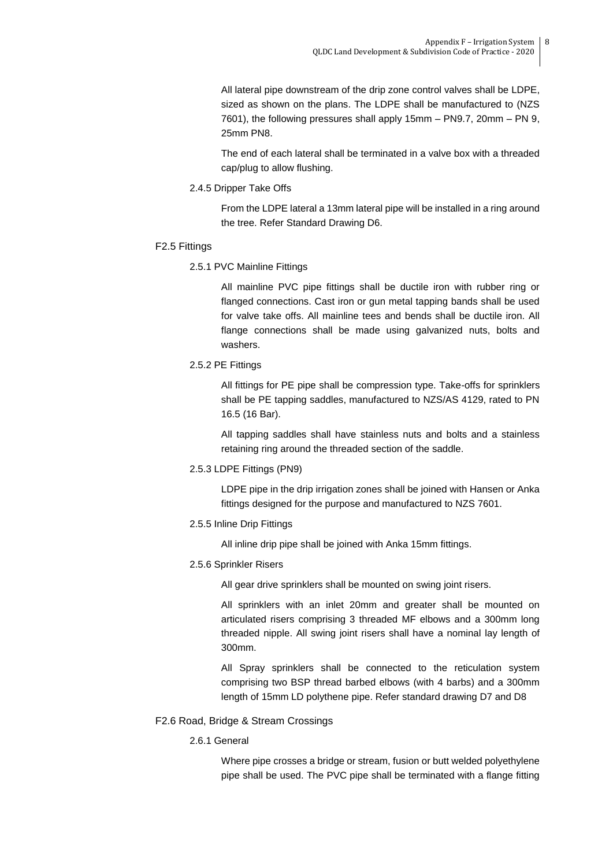All lateral pipe downstream of the drip zone control valves shall be LDPE, sized as shown on the plans. The LDPE shall be manufactured to (NZS 7601), the following pressures shall apply 15mm – PN9.7, 20mm – PN 9, 25mm PN8.

The end of each lateral shall be terminated in a valve box with a threaded cap/plug to allow flushing.

2.4.5 Dripper Take Offs

From the LDPE lateral a 13mm lateral pipe will be installed in a ring around the tree. Refer Standard Drawing D6.

- F2.5 Fittings
	- 2.5.1 PVC Mainline Fittings

All mainline PVC pipe fittings shall be ductile iron with rubber ring or flanged connections. Cast iron or gun metal tapping bands shall be used for valve take offs. All mainline tees and bends shall be ductile iron. All flange connections shall be made using galvanized nuts, bolts and washers.

2.5.2 PE Fittings

All fittings for PE pipe shall be compression type. Take-offs for sprinklers shall be PE tapping saddles, manufactured to NZS/AS 4129, rated to PN 16.5 (16 Bar).

All tapping saddles shall have stainless nuts and bolts and a stainless retaining ring around the threaded section of the saddle.

2.5.3 LDPE Fittings (PN9)

LDPE pipe in the drip irrigation zones shall be joined with Hansen or Anka fittings designed for the purpose and manufactured to NZS 7601.

2.5.5 Inline Drip Fittings

All inline drip pipe shall be joined with Anka 15mm fittings.

2.5.6 Sprinkler Risers

All gear drive sprinklers shall be mounted on swing joint risers.

All sprinklers with an inlet 20mm and greater shall be mounted on articulated risers comprising 3 threaded MF elbows and a 300mm long threaded nipple. All swing joint risers shall have a nominal lay length of 300mm.

All Spray sprinklers shall be connected to the reticulation system comprising two BSP thread barbed elbows (with 4 barbs) and a 300mm length of 15mm LD polythene pipe. Refer standard drawing D7 and D8

- F2.6 Road, Bridge & Stream Crossings
	- 2.6.1 General

Where pipe crosses a bridge or stream, fusion or butt welded polyethylene pipe shall be used. The PVC pipe shall be terminated with a flange fitting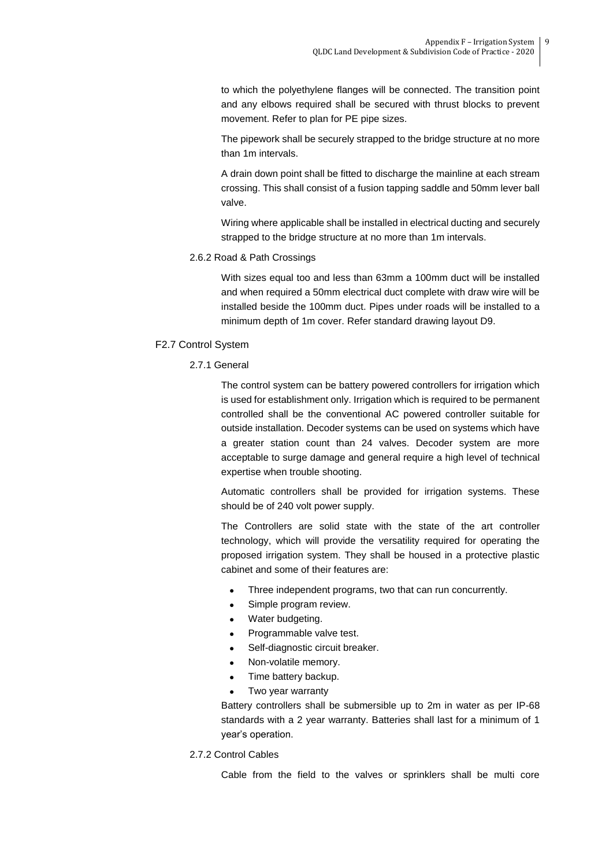to which the polyethylene flanges will be connected. The transition point and any elbows required shall be secured with thrust blocks to prevent movement. Refer to plan for PE pipe sizes.

The pipework shall be securely strapped to the bridge structure at no more than 1m intervals.

A drain down point shall be fitted to discharge the mainline at each stream crossing. This shall consist of a fusion tapping saddle and 50mm lever ball valve.

Wiring where applicable shall be installed in electrical ducting and securely strapped to the bridge structure at no more than 1m intervals.

#### 2.6.2 Road & Path Crossings

With sizes equal too and less than 63mm a 100mm duct will be installed and when required a 50mm electrical duct complete with draw wire will be installed beside the 100mm duct. Pipes under roads will be installed to a minimum depth of 1m cover. Refer standard drawing layout D9.

## F2.7 Control System

2.7.1 General

The control system can be battery powered controllers for irrigation which is used for establishment only. Irrigation which is required to be permanent controlled shall be the conventional AC powered controller suitable for outside installation. Decoder systems can be used on systems which have a greater station count than 24 valves. Decoder system are more acceptable to surge damage and general require a high level of technical expertise when trouble shooting.

Automatic controllers shall be provided for irrigation systems. These should be of 240 volt power supply.

The Controllers are solid state with the state of the art controller technology, which will provide the versatility required for operating the proposed irrigation system. They shall be housed in a protective plastic cabinet and some of their features are:

- Three independent programs, two that can run concurrently.
- Simple program review.
- Water budgeting.
- Programmable valve test.
- Self-diagnostic circuit breaker.
- Non-volatile memory.
- Time battery backup.
- Two year warranty

Battery controllers shall be submersible up to 2m in water as per IP-68 standards with a 2 year warranty. Batteries shall last for a minimum of 1 year's operation.

## 2.7.2 Control Cables

Cable from the field to the valves or sprinklers shall be multi core

9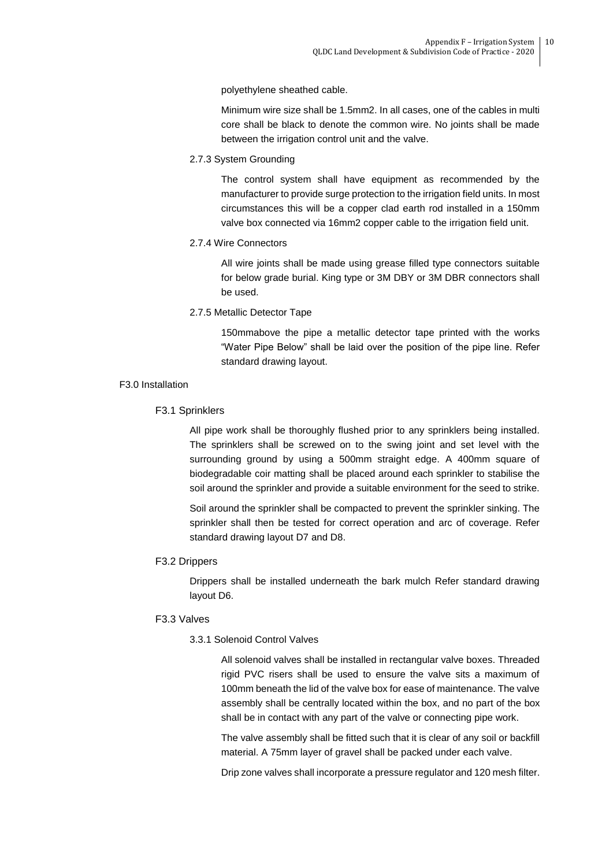polyethylene sheathed cable.

Minimum wire size shall be 1.5mm2. In all cases, one of the cables in multi core shall be black to denote the common wire. No joints shall be made between the irrigation control unit and the valve.

2.7.3 System Grounding

The control system shall have equipment as recommended by the manufacturer to provide surge protection to the irrigation field units. In most circumstances this will be a copper clad earth rod installed in a 150mm valve box connected via 16mm2 copper cable to the irrigation field unit.

## 2.7.4 Wire Connectors

All wire joints shall be made using grease filled type connectors suitable for below grade burial. King type or 3M DBY or 3M DBR connectors shall be used.

2.7.5 Metallic Detector Tape

150mmabove the pipe a metallic detector tape printed with the works "Water Pipe Below" shall be laid over the position of the pipe line. Refer standard drawing layout.

## F3.0 Installation

## F3.1 Sprinklers

All pipe work shall be thoroughly flushed prior to any sprinklers being installed. The sprinklers shall be screwed on to the swing joint and set level with the surrounding ground by using a 500mm straight edge. A 400mm square of biodegradable coir matting shall be placed around each sprinkler to stabilise the soil around the sprinkler and provide a suitable environment for the seed to strike.

Soil around the sprinkler shall be compacted to prevent the sprinkler sinking. The sprinkler shall then be tested for correct operation and arc of coverage. Refer standard drawing layout D7 and D8.

## F3.2 Drippers

Drippers shall be installed underneath the bark mulch Refer standard drawing layout D6.

## F3.3 Valves

## 3.3.1 Solenoid Control Valves

All solenoid valves shall be installed in rectangular valve boxes. Threaded rigid PVC risers shall be used to ensure the valve sits a maximum of 100mm beneath the lid of the valve box for ease of maintenance. The valve assembly shall be centrally located within the box, and no part of the box shall be in contact with any part of the valve or connecting pipe work.

The valve assembly shall be fitted such that it is clear of any soil or backfill material. A 75mm layer of gravel shall be packed under each valve.

Drip zone valves shall incorporate a pressure regulator and 120 mesh filter.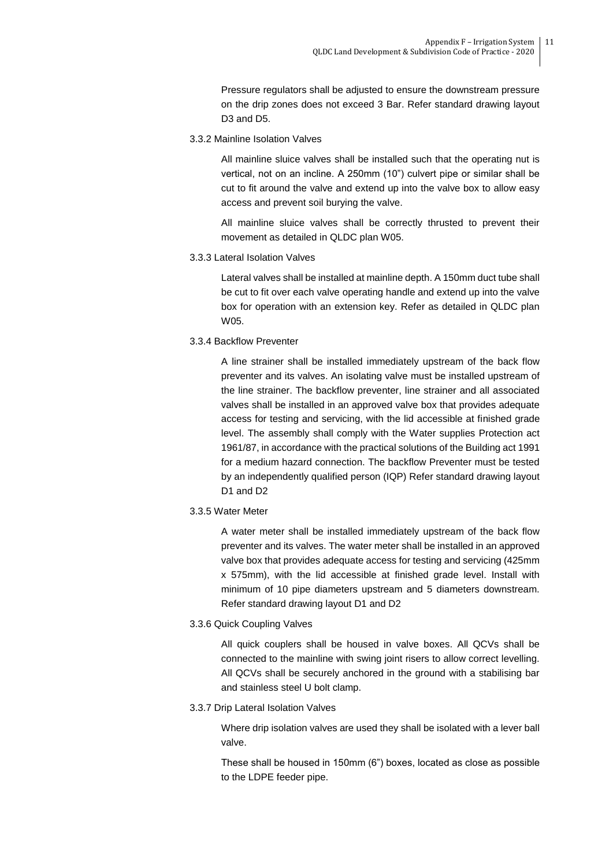Pressure regulators shall be adjusted to ensure the downstream pressure on the drip zones does not exceed 3 Bar. Refer standard drawing layout D3 and D5.

3.3.2 Mainline Isolation Valves

All mainline sluice valves shall be installed such that the operating nut is vertical, not on an incline. A 250mm (10") culvert pipe or similar shall be cut to fit around the valve and extend up into the valve box to allow easy access and prevent soil burying the valve.

All mainline sluice valves shall be correctly thrusted to prevent their movement as detailed in QLDC plan W05.

3.3.3 Lateral Isolation Valves

Lateral valves shall be installed at mainline depth. A 150mm duct tube shall be cut to fit over each valve operating handle and extend up into the valve box for operation with an extension key. Refer as detailed in QLDC plan W05.

3.3.4 Backflow Preventer

A line strainer shall be installed immediately upstream of the back flow preventer and its valves. An isolating valve must be installed upstream of the line strainer. The backflow preventer, line strainer and all associated valves shall be installed in an approved valve box that provides adequate access for testing and servicing, with the lid accessible at finished grade level. The assembly shall comply with the Water supplies Protection act 1961/87, in accordance with the practical solutions of the Building act 1991 for a medium hazard connection. The backflow Preventer must be tested by an independently qualified person (IQP) Refer standard drawing layout D1 and D2

3.3.5 Water Meter

A water meter shall be installed immediately upstream of the back flow preventer and its valves. The water meter shall be installed in an approved valve box that provides adequate access for testing and servicing (425mm x 575mm), with the lid accessible at finished grade level. Install with minimum of 10 pipe diameters upstream and 5 diameters downstream. Refer standard drawing layout D1 and D2

3.3.6 Quick Coupling Valves

All quick couplers shall be housed in valve boxes. All QCVs shall be connected to the mainline with swing joint risers to allow correct levelling. All QCVs shall be securely anchored in the ground with a stabilising bar and stainless steel U bolt clamp.

3.3.7 Drip Lateral Isolation Valves

Where drip isolation valves are used they shall be isolated with a lever ball valve.

These shall be housed in 150mm (6") boxes, located as close as possible to the LDPE feeder pipe.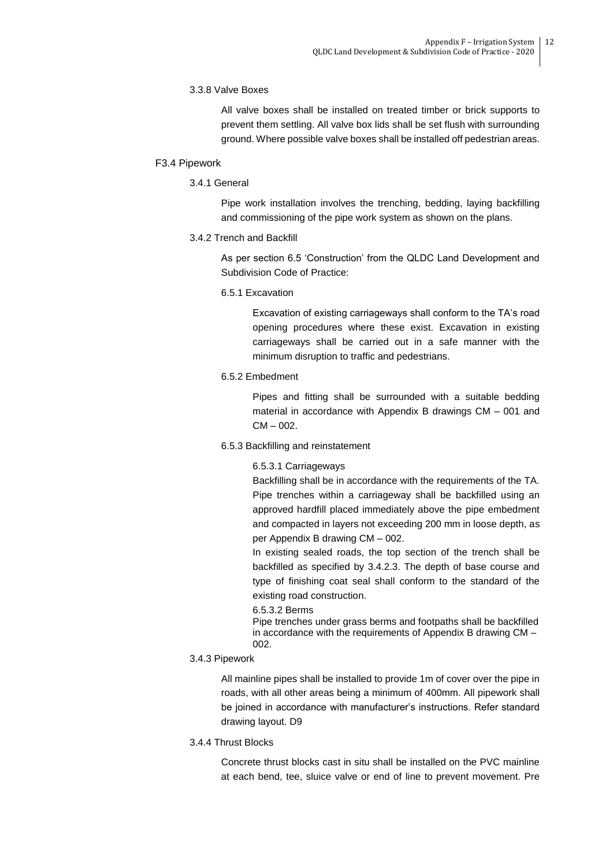## 3.3.8 Valve Boxes

All valve boxes shall be installed on treated timber or brick supports to prevent them settling. All valve box lids shall be set flush with surrounding ground. Where possible valve boxes shall be installed off pedestrian areas.

## F3.4 Pipework

3.4.1 General

Pipe work installation involves the trenching, bedding, laying backfilling and commissioning of the pipe work system as shown on the plans.

## 3.4.2 Trench and Backfill

As per section 6.5 'Construction' from the QLDC Land Development and Subdivision Code of Practice:

6.5.1 Excavation

Excavation of existing carriageways shall conform to the TA's road opening procedures where these exist. Excavation in existing carriageways shall be carried out in a safe manner with the minimum disruption to traffic and pedestrians.

6.5.2 Embedment

Pipes and fitting shall be surrounded with a suitable bedding material in accordance with Appendix B drawings CM – 001 and  $CM - 002$ .

## 6.5.3 Backfilling and reinstatement

6.5.3.1 Carriageways

Backfilling shall be in accordance with the requirements of the TA. Pipe trenches within a carriageway shall be backfilled using an approved hardfill placed immediately above the pipe embedment and compacted in layers not exceeding 200 mm in loose depth, as per Appendix B drawing CM – 002.

In existing sealed roads, the top section of the trench shall be backfilled as specified by 3.4.2.3. The depth of base course and type of finishing coat seal shall conform to the standard of the existing road construction.

## 6.5.3.2 Berms

Pipe trenches under grass berms and footpaths shall be backfilled in accordance with the requirements of Appendix B drawing CM – 002.

## 3.4.3 Pipework

All mainline pipes shall be installed to provide 1m of cover over the pipe in roads, with all other areas being a minimum of 400mm. All pipework shall be joined in accordance with manufacturer's instructions. Refer standard drawing layout. D9

3.4.4 Thrust Blocks

Concrete thrust blocks cast in situ shall be installed on the PVC mainline at each bend, tee, sluice valve or end of line to prevent movement. Pre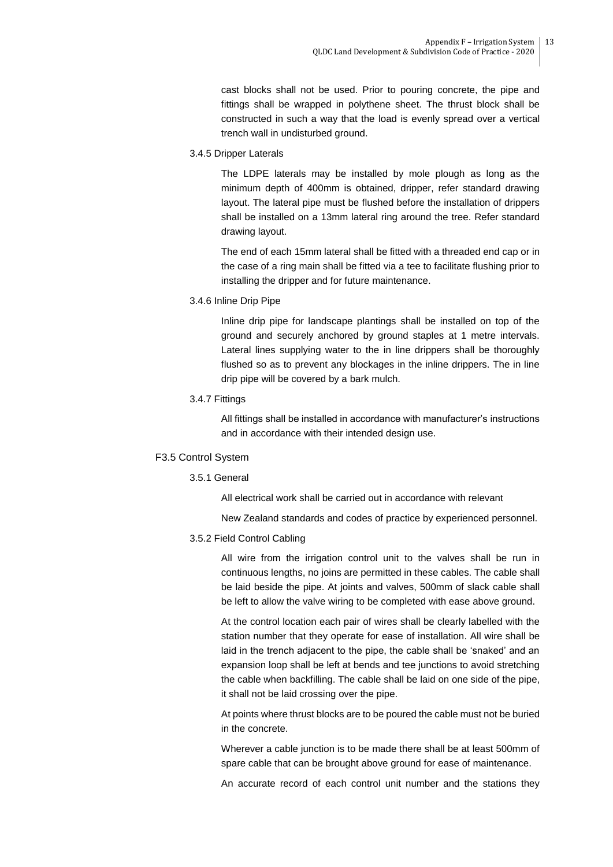cast blocks shall not be used. Prior to pouring concrete, the pipe and fittings shall be wrapped in polythene sheet. The thrust block shall be constructed in such a way that the load is evenly spread over a vertical trench wall in undisturbed ground.

3.4.5 Dripper Laterals

The LDPE laterals may be installed by mole plough as long as the minimum depth of 400mm is obtained, dripper, refer standard drawing layout. The lateral pipe must be flushed before the installation of drippers shall be installed on a 13mm lateral ring around the tree. Refer standard drawing layout.

The end of each 15mm lateral shall be fitted with a threaded end cap or in the case of a ring main shall be fitted via a tee to facilitate flushing prior to installing the dripper and for future maintenance.

3.4.6 Inline Drip Pipe

Inline drip pipe for landscape plantings shall be installed on top of the ground and securely anchored by ground staples at 1 metre intervals. Lateral lines supplying water to the in line drippers shall be thoroughly flushed so as to prevent any blockages in the inline drippers. The in line drip pipe will be covered by a bark mulch.

#### 3.4.7 Fittings

All fittings shall be installed in accordance with manufacturer's instructions and in accordance with their intended design use.

## F3.5 Control System

## 3.5.1 General

All electrical work shall be carried out in accordance with relevant

New Zealand standards and codes of practice by experienced personnel.

## 3.5.2 Field Control Cabling

All wire from the irrigation control unit to the valves shall be run in continuous lengths, no joins are permitted in these cables. The cable shall be laid beside the pipe. At joints and valves, 500mm of slack cable shall be left to allow the valve wiring to be completed with ease above ground.

At the control location each pair of wires shall be clearly labelled with the station number that they operate for ease of installation. All wire shall be laid in the trench adjacent to the pipe, the cable shall be 'snaked' and an expansion loop shall be left at bends and tee junctions to avoid stretching the cable when backfilling. The cable shall be laid on one side of the pipe, it shall not be laid crossing over the pipe.

At points where thrust blocks are to be poured the cable must not be buried in the concrete.

Wherever a cable junction is to be made there shall be at least 500mm of spare cable that can be brought above ground for ease of maintenance.

An accurate record of each control unit number and the stations they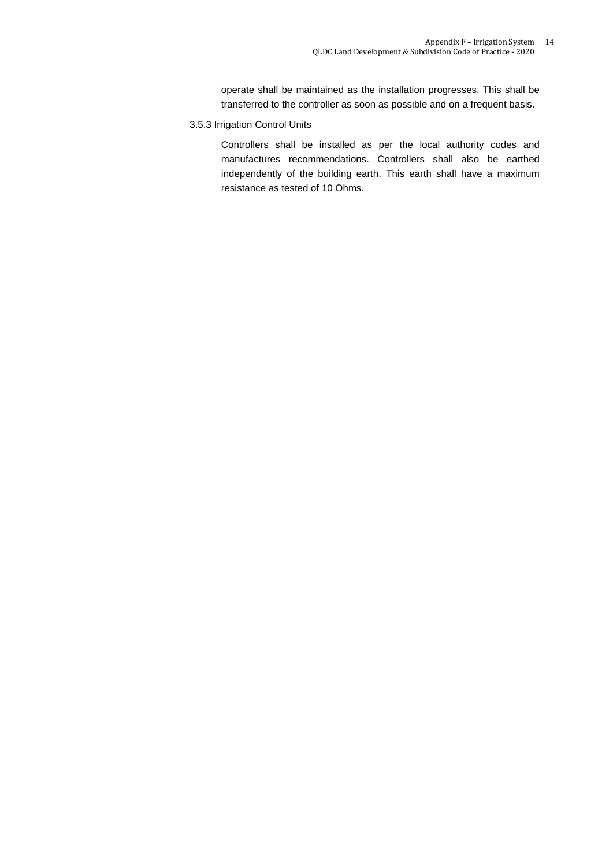operate shall be maintained as the installation progresses. This shall be transferred to the controller as soon as possible and on a frequent basis.

3.5.3 Irrigation Control Units

Controllers shall be installed as per the local authority codes and manufactures recommendations. Controllers shall also be earthed independently of the building earth. This earth shall have a maximum resistance as tested of 10 Ohms.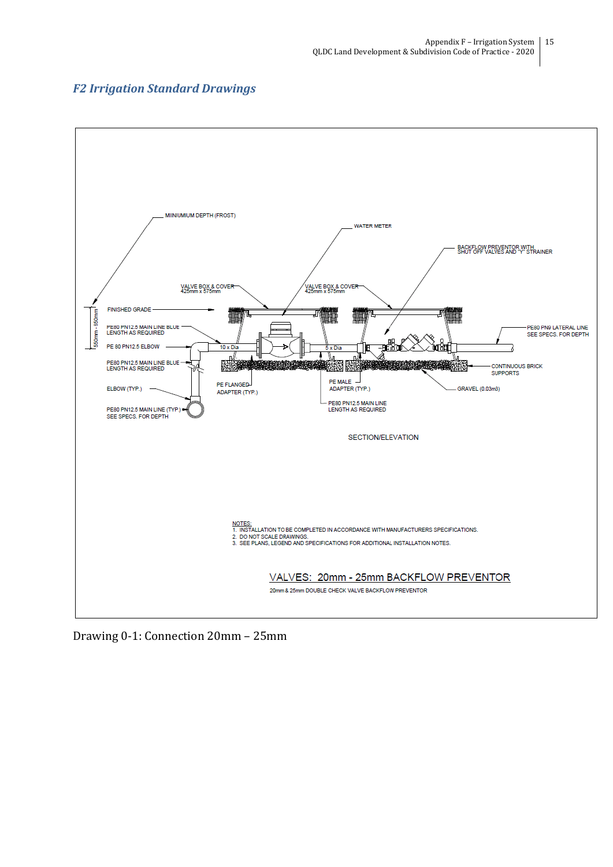



Drawing 0-1: Connection 20mm – 25mm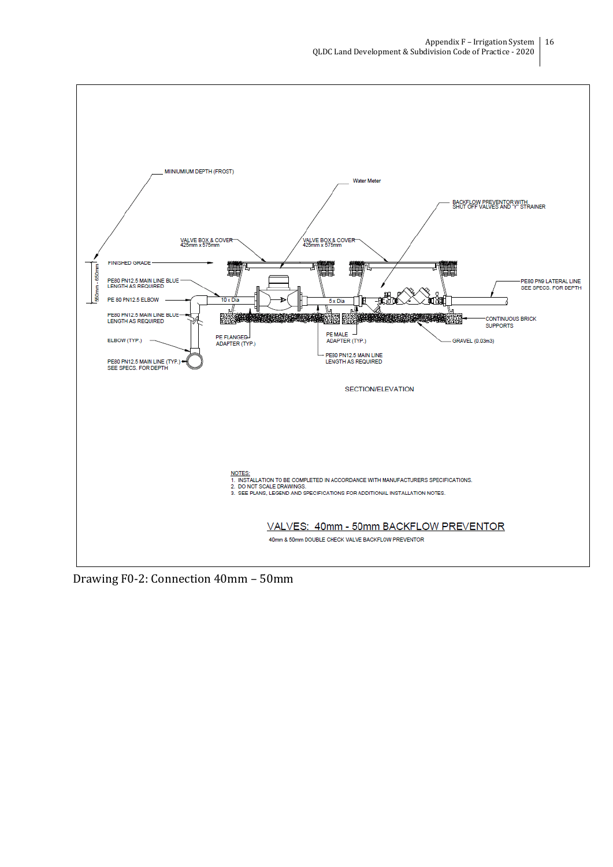

Drawing F0-2: Connection 40mm – 50mm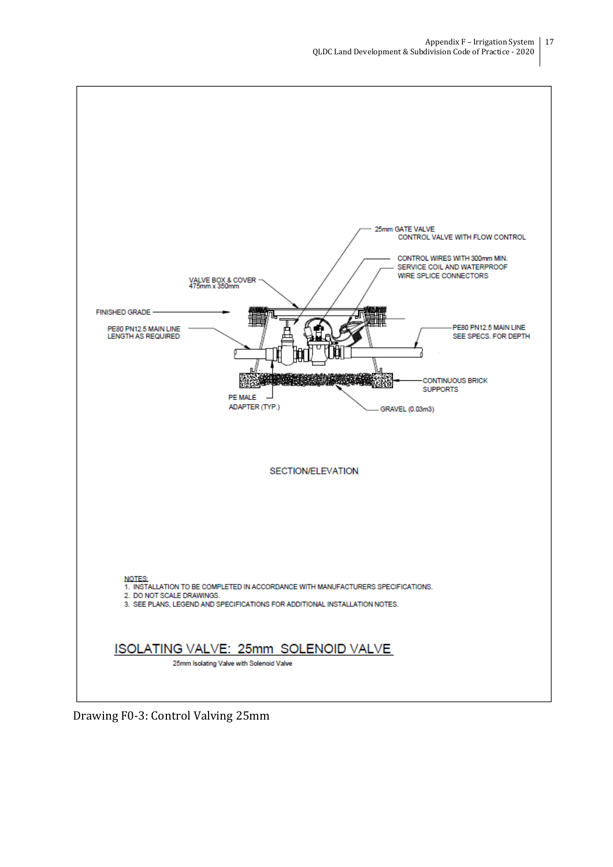

Drawing F0-3: Control Valving 25mm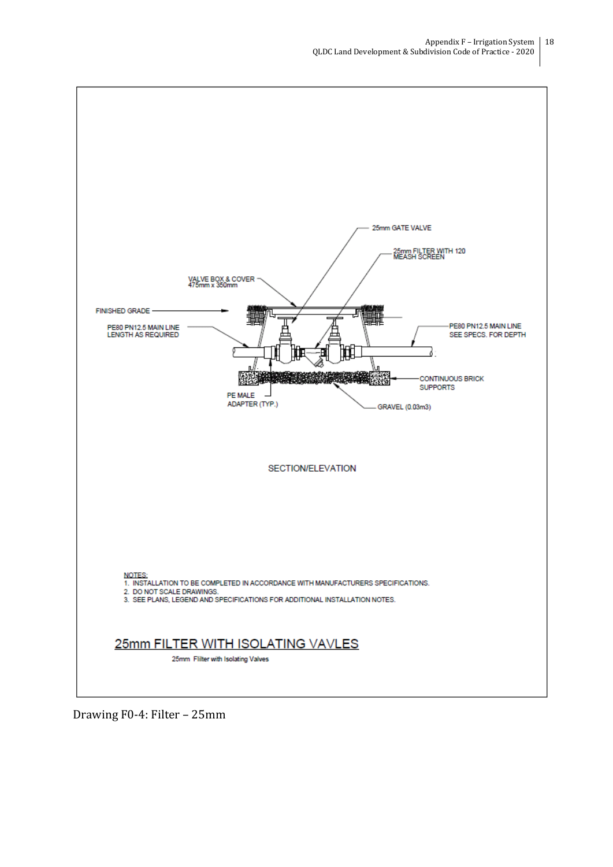

Drawing F0-4: Filter – 25mm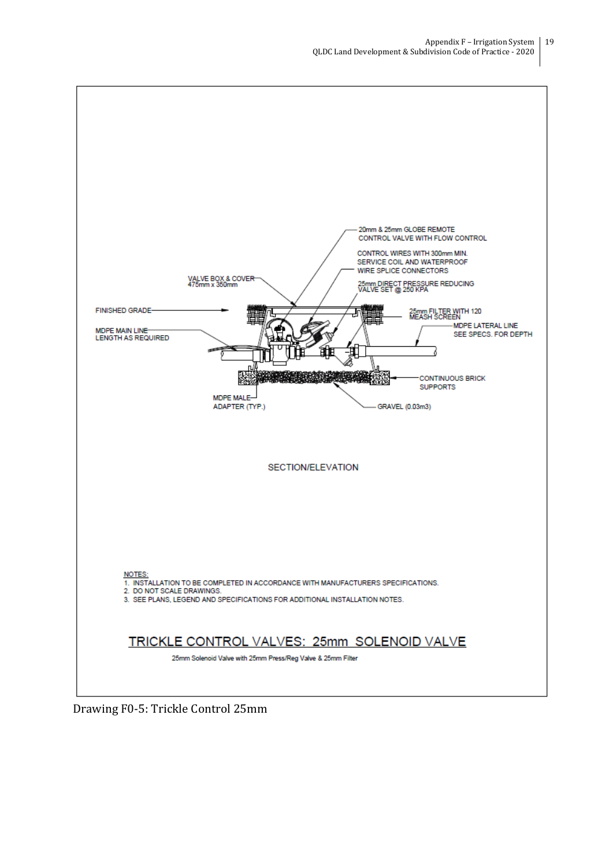

Drawing F0-5: Trickle Control 25mm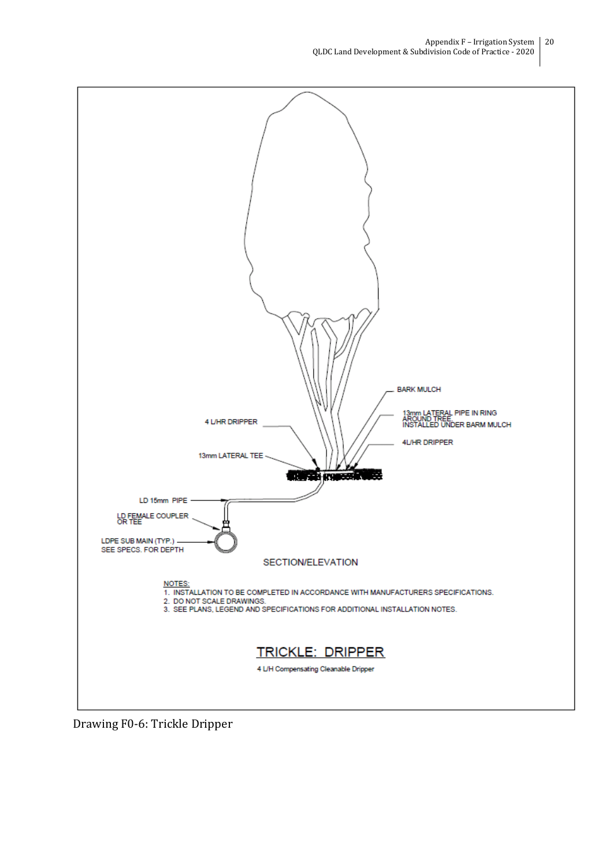![](_page_19_Figure_1.jpeg)

Drawing F0-6: Trickle Dripper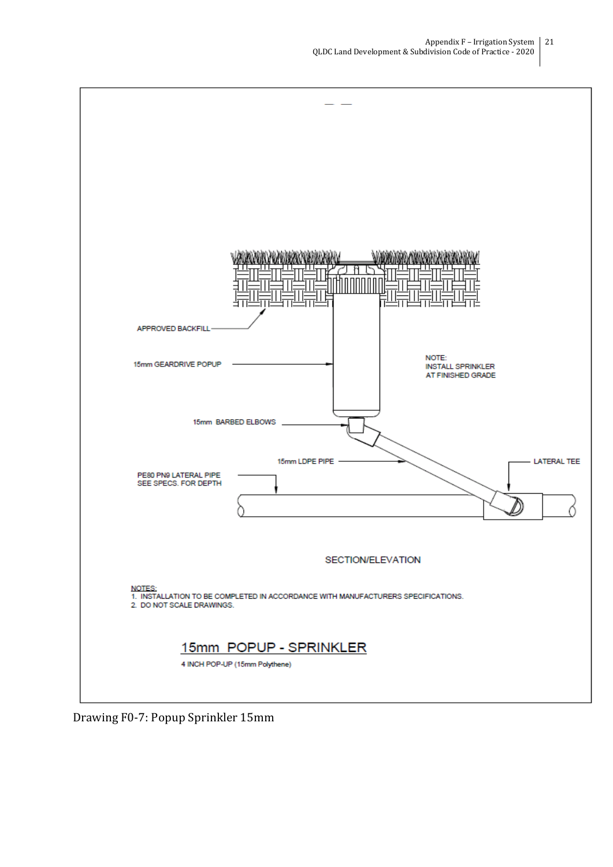![](_page_20_Figure_1.jpeg)

Drawing F0-7: Popup Sprinkler 15mm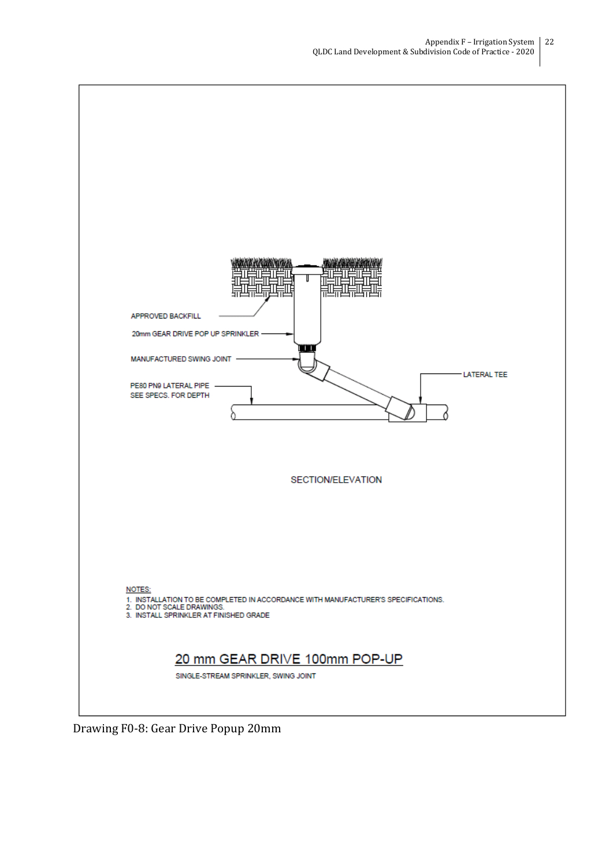![](_page_21_Figure_1.jpeg)

Drawing F0-8: Gear Drive Popup 20mm